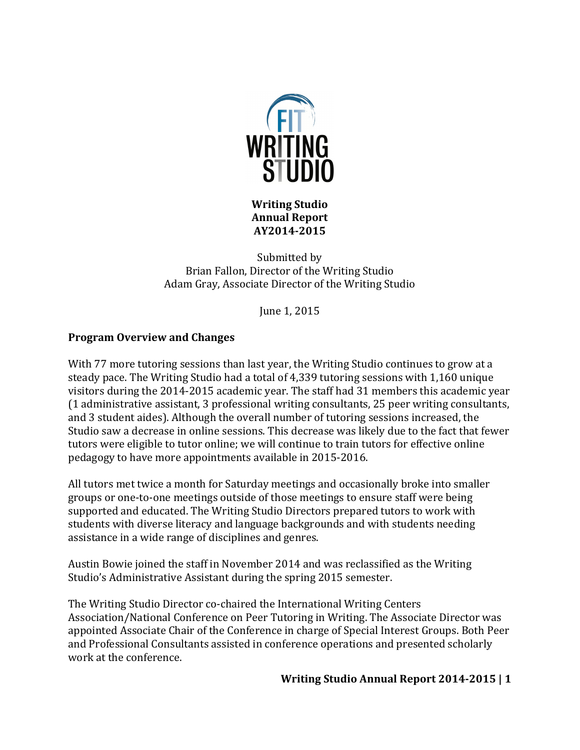

**Writing Studio Annual Report AY2014-2015**

Submitted by Brian Fallon, Director of the Writing Studio Adam Gray, Associate Director of the Writing Studio

June 1, 2015

# **Program Overview and Changes**

With 77 more tutoring sessions than last year, the Writing Studio continues to grow at a steady pace. The Writing Studio had a total of 4,339 tutoring sessions with 1,160 unique visitors during the 2014-2015 academic year. The staff had 31 members this academic year  $(1$  administrative assistant, 3 professional writing consultants, 25 peer writing consultants, and 3 student aides). Although the overall number of tutoring sessions increased, the Studio saw a decrease in online sessions. This decrease was likely due to the fact that fewer tutors were eligible to tutor online; we will continue to train tutors for effective online pedagogy to have more appointments available in 2015-2016.

All tutors met twice a month for Saturday meetings and occasionally broke into smaller groups or one-to-one meetings outside of those meetings to ensure staff were being supported and educated. The Writing Studio Directors prepared tutors to work with students with diverse literacy and language backgrounds and with students needing assistance in a wide range of disciplines and genres.

Austin Bowie joined the staff in November 2014 and was reclassified as the Writing Studio's Administrative Assistant during the spring 2015 semester.

The Writing Studio Director co-chaired the International Writing Centers Association/National Conference on Peer Tutoring in Writing. The Associate Director was appointed Associate Chair of the Conference in charge of Special Interest Groups. Both Peer and Professional Consultants assisted in conference operations and presented scholarly work at the conference.

## **Writing Studio Annual Report 2014-2015 | 1**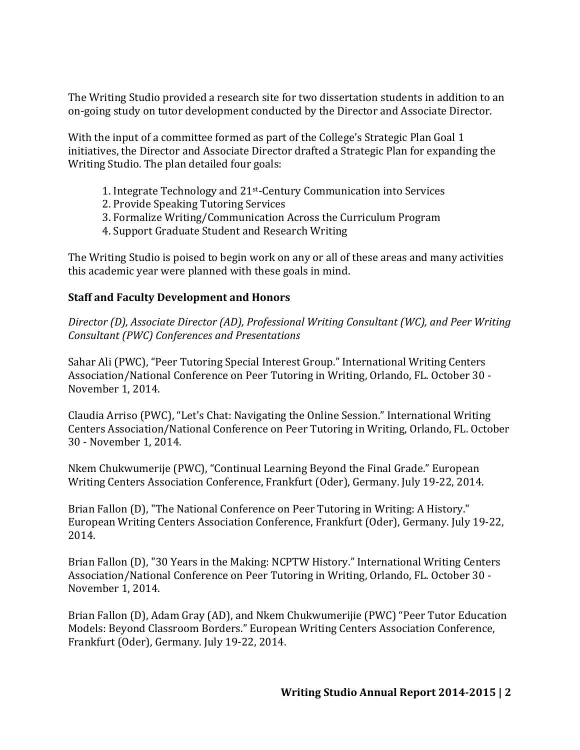The Writing Studio provided a research site for two dissertation students in addition to an on-going study on tutor development conducted by the Director and Associate Director.

With the input of a committee formed as part of the College's Strategic Plan Goal 1 initiatives, the Director and Associate Director drafted a Strategic Plan for expanding the Writing Studio. The plan detailed four goals:

- 1. Integrate Technology and 21<sup>st</sup>-Century Communication into Services
- 2. Provide Speaking Tutoring Services
- 3. Formalize Writing/Communication Across the Curriculum Program
- 4. Support Graduate Student and Research Writing

The Writing Studio is poised to begin work on any or all of these areas and many activities this academic year were planned with these goals in mind.

# **Staff and Faculty Development and Honors**

*Director* (D), Associate Director (AD), Professional Writing Consultant (WC), and Peer Writing *Consultant (PWC) Conferences and Presentations*

Sahar Ali (PWC), "Peer Tutoring Special Interest Group." International Writing Centers Association/National Conference on Peer Tutoring in Writing, Orlando, FL. October 30 -November 1, 2014.

Claudia Arriso (PWC), "Let's Chat: Navigating the Online Session." International Writing Centers Association/National Conference on Peer Tutoring in Writing, Orlando, FL. October 30 - November 1, 2014.

Nkem Chukwumerije (PWC), "Continual Learning Beyond the Final Grade." European Writing Centers Association Conference, Frankfurt (Oder), Germany. July 19-22, 2014.

Brian Fallon (D), "The National Conference on Peer Tutoring in Writing: A History." European Writing Centers Association Conference, Frankfurt (Oder), Germany. July 19-22, 2014.

Brian Fallon (D), "30 Years in the Making: NCPTW History." International Writing Centers Association/National Conference on Peer Tutoring in Writing, Orlando, FL. October 30 -November 1, 2014.

Brian Fallon (D), Adam Gray (AD), and Nkem Chukwumerijie (PWC) "Peer Tutor Education Models: Beyond Classroom Borders." European Writing Centers Association Conference, Frankfurt (Oder), Germany. July 19-22, 2014.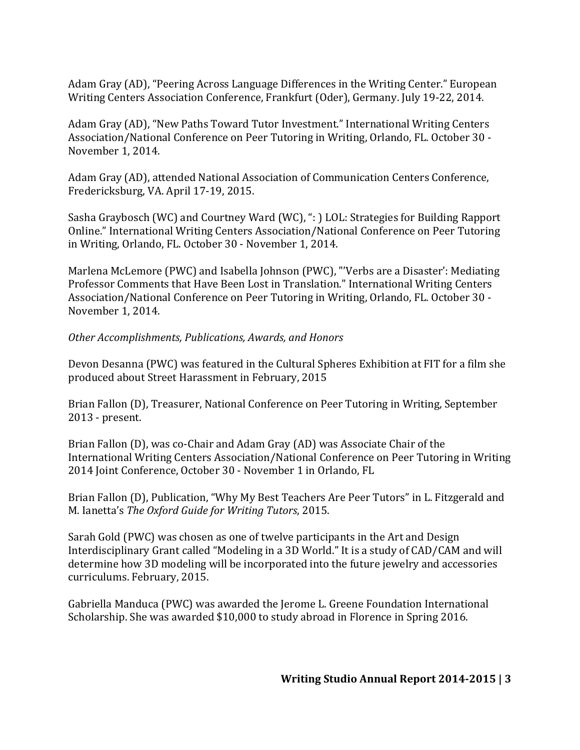Adam Gray (AD), "Peering Across Language Differences in the Writing Center." European Writing Centers Association Conference, Frankfurt (Oder), Germany. July 19-22, 2014.

Adam Gray (AD), "New Paths Toward Tutor Investment." International Writing Centers Association/National Conference on Peer Tutoring in Writing, Orlando, FL. October 30 -November 1, 2014.

Adam Gray (AD), attended National Association of Communication Centers Conference, Fredericksburg, VA. April 17-19, 2015.

Sasha Graybosch (WC) and Courtney Ward (WC), ": ) LOL: Strategies for Building Rapport Online." International Writing Centers Association/National Conference on Peer Tutoring in Writing, Orlando, FL. October 30 - November 1, 2014.

Marlena McLemore (PWC) and Isabella Johnson (PWC), "'Verbs are a Disaster': Mediating Professor Comments that Have Been Lost in Translation." International Writing Centers Association/National Conference on Peer Tutoring in Writing, Orlando, FL. October 30 -November 1, 2014.

## *Other Accomplishments, Publications, Awards, and Honors*

Devon Desanna (PWC) was featured in the Cultural Spheres Exhibition at FIT for a film she produced about Street Harassment in February, 2015

Brian Fallon (D), Treasurer, National Conference on Peer Tutoring in Writing, September 2013 - present.

Brian Fallon (D), was co-Chair and Adam Gray (AD) was Associate Chair of the International Writing Centers Association/National Conference on Peer Tutoring in Writing 2014 Joint Conference, October 30 - November 1 in Orlando, FL

Brian Fallon (D), Publication, "Why My Best Teachers Are Peer Tutors" in L. Fitzgerald and M. Ianetta's *The Oxford Guide for Writing Tutors*, 2015.

Sarah Gold (PWC) was chosen as one of twelve participants in the Art and Design Interdisciplinary Grant called "Modeling in a 3D World." It is a study of CAD/CAM and will determine how 3D modeling will be incorporated into the future jewelry and accessories curriculums. February, 2015.

Gabriella Manduca (PWC) was awarded the Jerome L. Greene Foundation International Scholarship. She was awarded \$10,000 to study abroad in Florence in Spring 2016.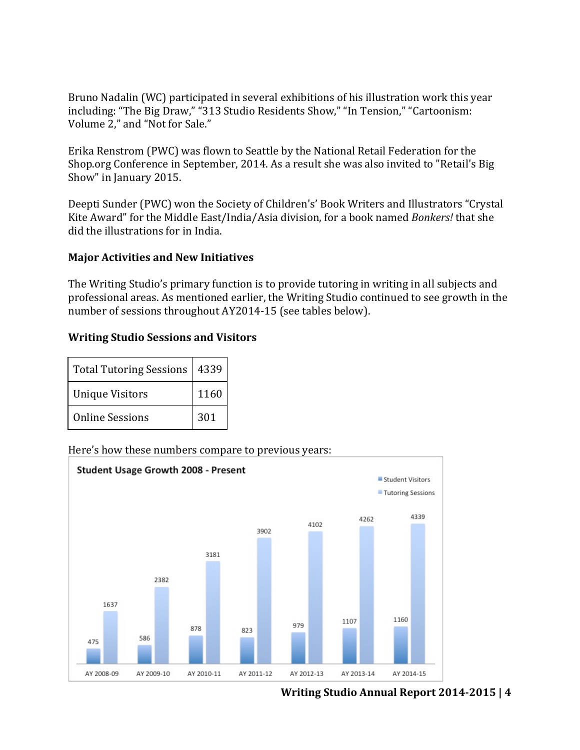Bruno Nadalin (WC) participated in several exhibitions of his illustration work this year including: "The Big Draw," "313 Studio Residents Show," "In Tension," "Cartoonism: Volume 2," and "Not for Sale."

Erika Renstrom (PWC) was flown to Seattle by the National Retail Federation for the Shop.org Conference in September, 2014. As a result she was also invited to "Retail's Big Show" in January 2015.

Deepti Sunder (PWC) won the Society of Children's' Book Writers and Illustrators "Crystal Kite Award" for the Middle East/India/Asia division, for a book named *Bonkers!* that she did the illustrations for in India.

## **Major Activities and New Initiatives**

The Writing Studio's primary function is to provide tutoring in writing in all subjects and professional areas. As mentioned earlier, the Writing Studio continued to see growth in the number of sessions throughout AY2014-15 (see tables below).

## **Writing Studio Sessions and Visitors**

| Total Tutoring Sessions | 4339 |
|-------------------------|------|
| <b>Unique Visitors</b>  | 1160 |
| <b>Online Sessions</b>  | 301  |

## Here's how these numbers compare to previous years:



**Writing Studio Annual Report 2014-2015 | 4**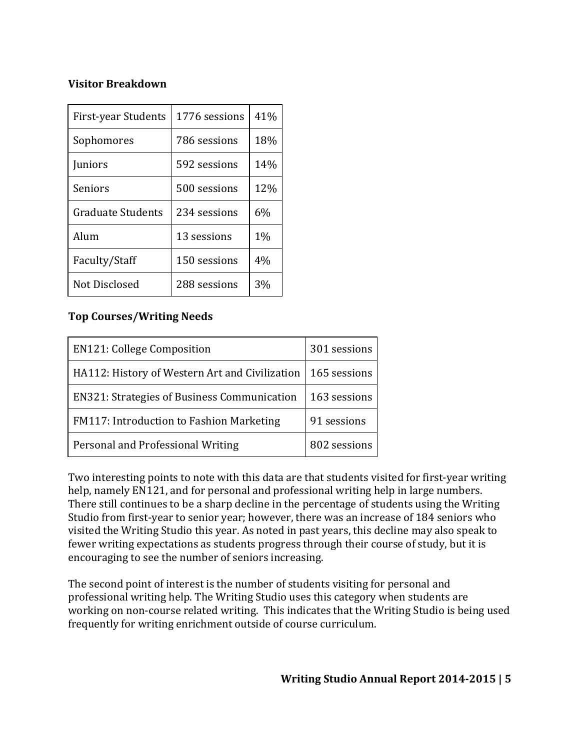## **Visitor Breakdown**

| First-year Students      | 1776 sessions | 41%   |
|--------------------------|---------------|-------|
| Sophomores               | 786 sessions  | 18%   |
| Juniors                  | 592 sessions  | 14%   |
| Seniors                  | 500 sessions  | 12%   |
| <b>Graduate Students</b> | 234 sessions  | 6%    |
| Alum                     | 13 sessions   | $1\%$ |
| Faculty/Staff            | 150 sessions  | 4%    |
| Not Disclosed            | 288 sessions  | 3%    |

# **Top Courses/Writing Needs**

| <b>EN121: College Composition</b>                  | 301 sessions |
|----------------------------------------------------|--------------|
| HA112: History of Western Art and Civilization     | 165 sessions |
| <b>EN321: Strategies of Business Communication</b> | 163 sessions |
| <b>FM117: Introduction to Fashion Marketing</b>    | 91 sessions  |
| Personal and Professional Writing                  | 802 sessions |

Two interesting points to note with this data are that students visited for first-year writing help, namely EN121, and for personal and professional writing help in large numbers. There still continues to be a sharp decline in the percentage of students using the Writing Studio from first-year to senior year; however, there was an increase of 184 seniors who visited the Writing Studio this year. As noted in past years, this decline may also speak to fewer writing expectations as students progress through their course of study, but it is encouraging to see the number of seniors increasing.

The second point of interest is the number of students visiting for personal and professional writing help. The Writing Studio uses this category when students are working on non-course related writing. This indicates that the Writing Studio is being used frequently for writing enrichment outside of course curriculum.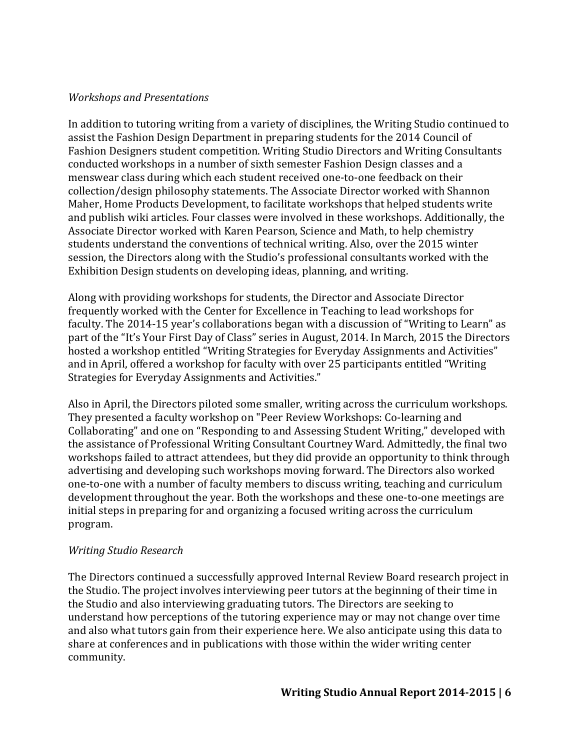## *Workshops and Presentations*

In addition to tutoring writing from a variety of disciplines, the Writing Studio continued to assist the Fashion Design Department in preparing students for the 2014 Council of Fashion Designers student competition. Writing Studio Directors and Writing Consultants conducted workshops in a number of sixth semester Fashion Design classes and a menswear class during which each student received one-to-one feedback on their collection/design philosophy statements. The Associate Director worked with Shannon Maher, Home Products Development, to facilitate workshops that helped students write and publish wiki articles. Four classes were involved in these workshops. Additionally, the Associate Director worked with Karen Pearson, Science and Math, to help chemistry students understand the conventions of technical writing. Also, over the 2015 winter session, the Directors along with the Studio's professional consultants worked with the Exhibition Design students on developing ideas, planning, and writing.

Along with providing workshops for students, the Director and Associate Director frequently worked with the Center for Excellence in Teaching to lead workshops for faculty. The 2014-15 year's collaborations began with a discussion of "Writing to Learn" as part of the "It's Your First Day of Class" series in August, 2014. In March, 2015 the Directors hosted a workshop entitled "Writing Strategies for Everyday Assignments and Activities" and in April, offered a workshop for faculty with over 25 participants entitled "Writing Strategies for Everyday Assignments and Activities."

Also in April, the Directors piloted some smaller, writing across the curriculum workshops. They presented a faculty workshop on "Peer Review Workshops: Co-learning and Collaborating" and one on "Responding to and Assessing Student Writing," developed with the assistance of Professional Writing Consultant Courtney Ward. Admittedly, the final two workshops failed to attract attendees, but they did provide an opportunity to think through advertising and developing such workshops moving forward. The Directors also worked one-to-one with a number of faculty members to discuss writing, teaching and curriculum development throughout the year. Both the workshops and these one-to-one meetings are initial steps in preparing for and organizing a focused writing across the curriculum program.

## *Writing Studio Research*

The Directors continued a successfully approved Internal Review Board research project in the Studio. The project involves interviewing peer tutors at the beginning of their time in the Studio and also interviewing graduating tutors. The Directors are seeking to understand how perceptions of the tutoring experience may or may not change over time and also what tutors gain from their experience here. We also anticipate using this data to share at conferences and in publications with those within the wider writing center community.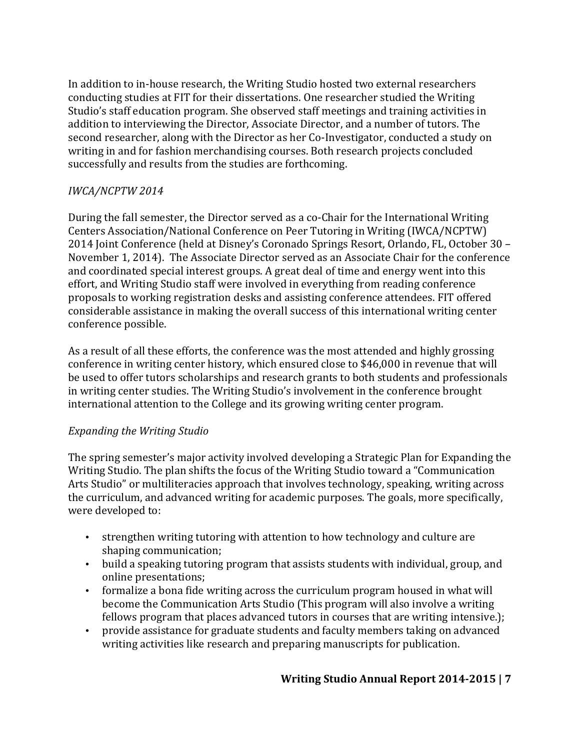In addition to in-house research, the Writing Studio hosted two external researchers conducting studies at FIT for their dissertations. One researcher studied the Writing Studio's staff education program. She observed staff meetings and training activities in addition to interviewing the Director, Associate Director, and a number of tutors. The second researcher, along with the Director as her Co-Investigator, conducted a study on writing in and for fashion merchandising courses. Both research projects concluded successfully and results from the studies are forthcoming.

# *IWCA/NCPTW 2014*

During the fall semester, the Director served as a co-Chair for the International Writing Centers Association/National Conference on Peer Tutoring in Writing (IWCA/NCPTW) 2014 Joint Conference (held at Disney's Coronado Springs Resort, Orlando, FL, October 30 – November 1, 2014). The Associate Director served as an Associate Chair for the conference and coordinated special interest groups. A great deal of time and energy went into this effort, and Writing Studio staff were involved in everything from reading conference proposals to working registration desks and assisting conference attendees. FIT offered considerable assistance in making the overall success of this international writing center conference possible. 

As a result of all these efforts, the conference was the most attended and highly grossing conference in writing center history, which ensured close to \$46,000 in revenue that will be used to offer tutors scholarships and research grants to both students and professionals in writing center studies. The Writing Studio's involvement in the conference brought international attention to the College and its growing writing center program.

# *Expanding the Writing Studio*

The spring semester's major activity involved developing a Strategic Plan for Expanding the Writing Studio. The plan shifts the focus of the Writing Studio toward a "Communication Arts Studio" or multiliteracies approach that involves technology, speaking, writing across the curriculum, and advanced writing for academic purposes. The goals, more specifically, were developed to:

- strengthen writing tutoring with attention to how technology and culture are shaping communication;
- build a speaking tutoring program that assists students with individual, group, and online presentations;
- formalize a bona fide writing across the curriculum program housed in what will become the Communication Arts Studio (This program will also involve a writing fellows program that places advanced tutors in courses that are writing intensive.);
- provide assistance for graduate students and faculty members taking on advanced writing activities like research and preparing manuscripts for publication.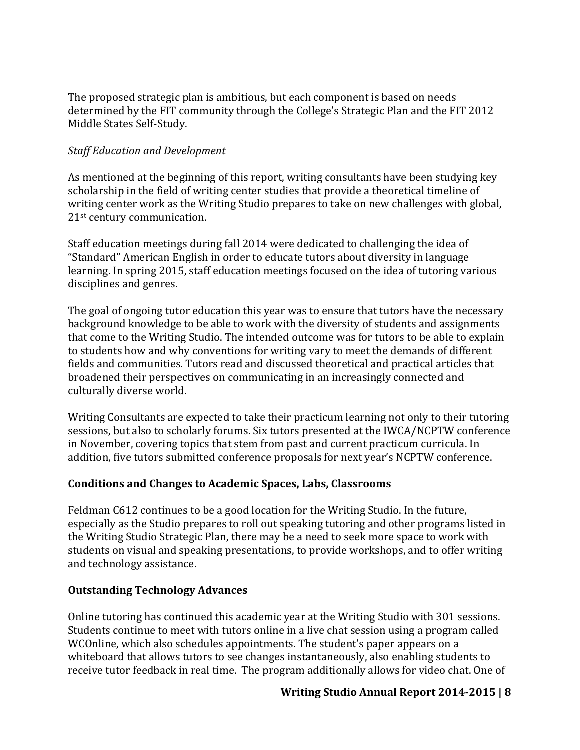The proposed strategic plan is ambitious, but each component is based on needs determined by the FIT community through the College's Strategic Plan and the FIT 2012 Middle States Self-Study.

## **Staff Education and Development**

As mentioned at the beginning of this report, writing consultants have been studying key scholarship in the field of writing center studies that provide a theoretical timeline of writing center work as the Writing Studio prepares to take on new challenges with global,  $21<sup>st</sup>$  century communication.

Staff education meetings during fall 2014 were dedicated to challenging the idea of "Standard" American English in order to educate tutors about diversity in language learning. In spring 2015, staff education meetings focused on the idea of tutoring various disciplines and genres.

The goal of ongoing tutor education this year was to ensure that tutors have the necessary background knowledge to be able to work with the diversity of students and assignments that come to the Writing Studio. The intended outcome was for tutors to be able to explain to students how and why conventions for writing vary to meet the demands of different fields and communities. Tutors read and discussed theoretical and practical articles that broadened their perspectives on communicating in an increasingly connected and culturally diverse world.

Writing Consultants are expected to take their practicum learning not only to their tutoring sessions, but also to scholarly forums. Six tutors presented at the IWCA/NCPTW conference in November, covering topics that stem from past and current practicum curricula. In addition, five tutors submitted conference proposals for next year's NCPTW conference.

## Conditions and Changes to Academic Spaces, Labs, Classrooms

Feldman C612 continues to be a good location for the Writing Studio. In the future, especially as the Studio prepares to roll out speaking tutoring and other programs listed in the Writing Studio Strategic Plan, there may be a need to seek more space to work with students on visual and speaking presentations, to provide workshops, and to offer writing and technology assistance.

## **Outstanding Technology Advances**

Online tutoring has continued this academic year at the Writing Studio with 301 sessions. Students continue to meet with tutors online in a live chat session using a program called WCOnline, which also schedules appointments. The student's paper appears on a whiteboard that allows tutors to see changes instantaneously, also enabling students to receive tutor feedback in real time. The program additionally allows for video chat. One of

# **Writing Studio Annual Report 2014-2015 | 8**